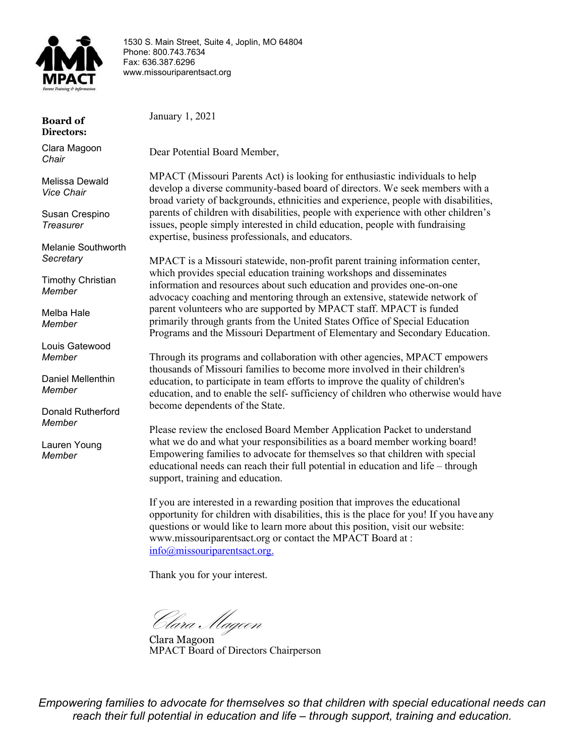

1530 S. Main Street, Suite 4, Joplin, MO 64804 Phone: 800.743.7634 Fax: 636.387.6296 [www.missouriparentsact.org](http://www.missouriparentsact.org/)

**Board of Directors:**

Clara Magoon *Chair*

Melissa Dewald *Vice Chair*

Susan Crespino *Treasurer*

Melanie Southworth *Secretary*

Timothy Christian *Member*

Melba Hale *Member*

Louis Gatewood *Member*

Daniel Mellenthin *Member*

Donald Rutherford *Member*

Lauren Young *Member*

January 1, 2021

Dear Potential Board Member,

MPACT (Missouri Parents Act) is looking for enthusiastic individuals to help develop a diverse community-based board of directors. We seek members with a broad variety of backgrounds, ethnicities and experience, people with disabilities, parents of children with disabilities, people with experience with other children's issues, people simply interested in child education, people with fundraising expertise, business professionals, and educators.

MPACT is a Missouri statewide, non-profit parent training information center, which provides special education training workshops and disseminates information and resources about such education and provides one-on-one advocacy coaching and mentoring through an extensive, statewide network of parent volunteers who are supported by MPACT staff. MPACT is funded primarily through grants from the United States Office of Special Education Programs and the Missouri Department of Elementary and Secondary Education.

Through its programs and collaboration with other agencies, MPACT empowers thousands of Missouri families to become more involved in their children's education, to participate in team efforts to improve the quality of children's education, and to enable the self- sufficiency of children who otherwise would have become dependents of the State.

Please review the enclosed Board Member Application Packet to understand what we do and what your responsibilities as a board member working board! Empowering families to advocate for themselves so that children with special educational needs can reach their full potential in education and life – through support, training and education.

If you are interested in a rewarding position that improves the educational opportunity for children with disabilities, this is the place for you! If you have any questions or would like to learn more about this position, visit our website: [www.missouriparentsact.org o](http://www.missouriparentsact.org/)r contact the MPACT Board at : [info@missouriparentsact.org.](mailto:info@missouriparentsact.org.)

Thank you for your interest.

Clara Magoon

Clara Magoon MPACT Board of Directors Chairperson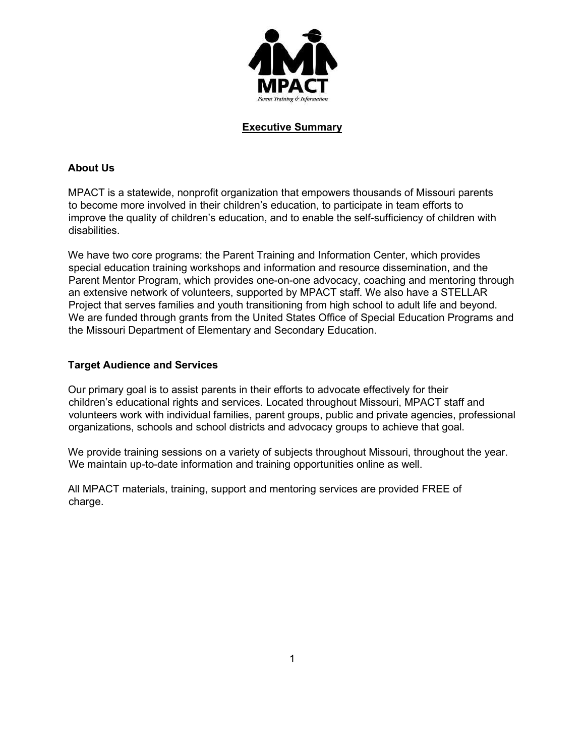

#### **Executive Summary**

#### **About Us**

MPACT is a statewide, nonprofit organization that empowers thousands of Missouri parents to become more involved in their children's education, to participate in team efforts to improve the quality of children's education, and to enable the self-sufficiency of children with disabilities.

We have two core programs: the Parent Training and Information Center, which provides special education training workshops and information and resource dissemination, and the Parent Mentor Program, which provides one-on-one advocacy, coaching and mentoring through an extensive network of volunteers, supported by MPACT staff. We also have a STELLAR Project that serves families and youth transitioning from high school to adult life and beyond. We are funded through grants from the United States Office of Special Education Programs and the Missouri Department of Elementary and Secondary Education.

#### **Target Audience and Services**

Our primary goal is to assist parents in their efforts to advocate effectively for their children's educational rights and services. Located throughout Missouri, MPACT staff and volunteers work with individual families, parent groups, public and private agencies, professional organizations, schools and school districts and advocacy groups to achieve that goal.

We provide training sessions on a variety of subjects throughout Missouri, throughout the year. We maintain up-to-date information and training opportunities online as well.

All MPACT materials, training, support and mentoring services are provided FREE of charge.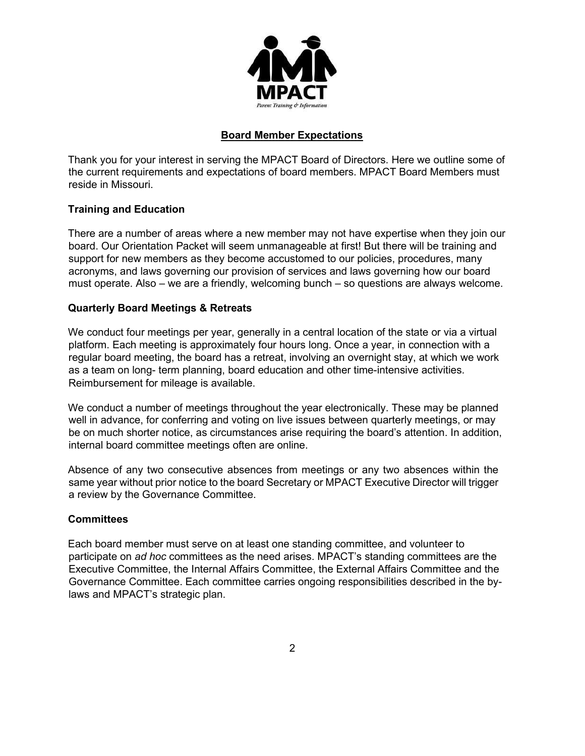

## **Board Member Expectations**

Thank you for your interest in serving the MPACT Board of Directors. Here we outline some of the current requirements and expectations of board members. MPACT Board Members must reside in Missouri.

### **Training and Education**

There are a number of areas where a new member may not have expertise when they join our board. Our Orientation Packet will seem unmanageable at first! But there will be training and support for new members as they become accustomed to our policies, procedures, many acronyms, and laws governing our provision of services and laws governing how our board must operate. Also – we are a friendly, welcoming bunch – so questions are always welcome.

### **Quarterly Board Meetings & Retreats**

We conduct four meetings per year, generally in a central location of the state or via a virtual platform. Each meeting is approximately four hours long. Once a year, in connection with a regular board meeting, the board has a retreat, involving an overnight stay, at which we work as a team on long- term planning, board education and other time-intensive activities. Reimbursement for mileage is available.

We conduct a number of meetings throughout the year electronically. These may be planned well in advance, for conferring and voting on live issues between quarterly meetings, or may be on much shorter notice, as circumstances arise requiring the board's attention. In addition, internal board committee meetings often are online.

Absence of any two consecutive absences from meetings or any two absences within the same year without prior notice to the board Secretary or MPACT Executive Director will trigger a review by the Governance Committee.

### **Committees**

Each board member must serve on at least one standing committee, and volunteer to participate on *ad hoc* committees as the need arises. MPACT's standing committees are the Executive Committee, the Internal Affairs Committee, the External Affairs Committee and the Governance Committee. Each committee carries ongoing responsibilities described in the bylaws and MPACT's strategic plan.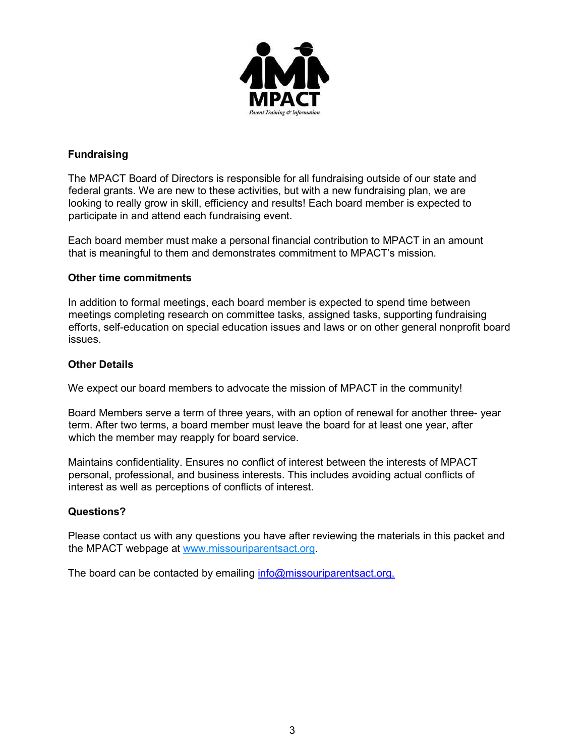

# **Fundraising**

The MPACT Board of Directors is responsible for all fundraising outside of our state and federal grants. We are new to these activities, but with a new fundraising plan, we are looking to really grow in skill, efficiency and results! Each board member is expected to participate in and attend each fundraising event.

Each board member must make a personal financial contribution to MPACT in an amount that is meaningful to them and demonstrates commitment to MPACT's mission.

### **Other time commitments**

In addition to formal meetings, each board member is expected to spend time between meetings completing research on committee tasks, assigned tasks, supporting fundraising efforts, self-education on special education issues and laws or on other general nonprofit board issues.

# **Other Details**

We expect our board members to advocate the mission of MPACT in the community!

Board Members serve a term of three years, with an option of renewal for another three- year term. After two terms, a board member must leave the board for at least one year, after which the member may reapply for board service.

Maintains confidentiality. Ensures no conflict of interest between the interests of MPACT personal, professional, and business interests. This includes avoiding actual conflicts of interest as well as perceptions of conflicts of interest.

### **Questions?**

Please contact us with any questions you have after reviewing the materials in this packet and the MPACT webpage [at www.missouriparentsact.org.](http://www.missouriparentsact.org/)

The board can be contacted by emailing [info@missouriparentsact.org.](mailto:info@missouriparentsact.org.)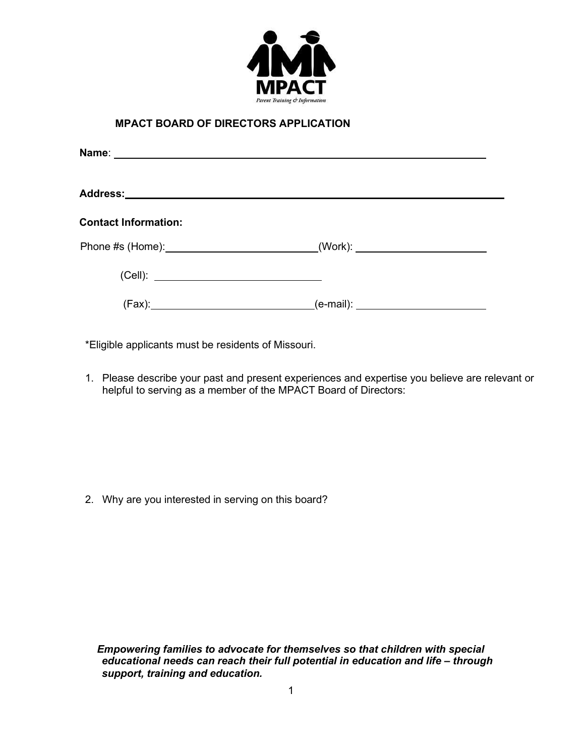

## **MPACT BOARD OF DIRECTORS APPLICATION**

| <b>Contact Information:</b> |  |
|-----------------------------|--|
|                             |  |
|                             |  |
|                             |  |

\*Eligible applicants must be residents of Missouri.

1. Please describe your past and present experiences and expertise you believe are relevant or helpful to serving as a member of the MPACT Board of Directors:

2. Why are you interested in serving on this board?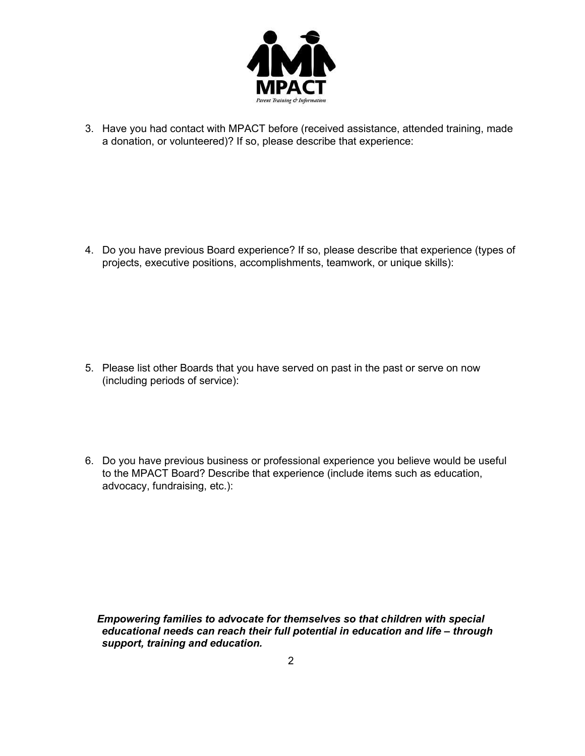

3. Have you had contact with MPACT before (received assistance, attended training, made a donation, or volunteered)? If so, please describe that experience:

4. Do you have previous Board experience? If so, please describe that experience (types of projects, executive positions, accomplishments, teamwork, or unique skills):

- 5. Please list other Boards that you have served on past in the past or serve on now (including periods of service):
- 6. Do you have previous business or professional experience you believe would be useful to the MPACT Board? Describe that experience (include items such as education, advocacy, fundraising, etc.):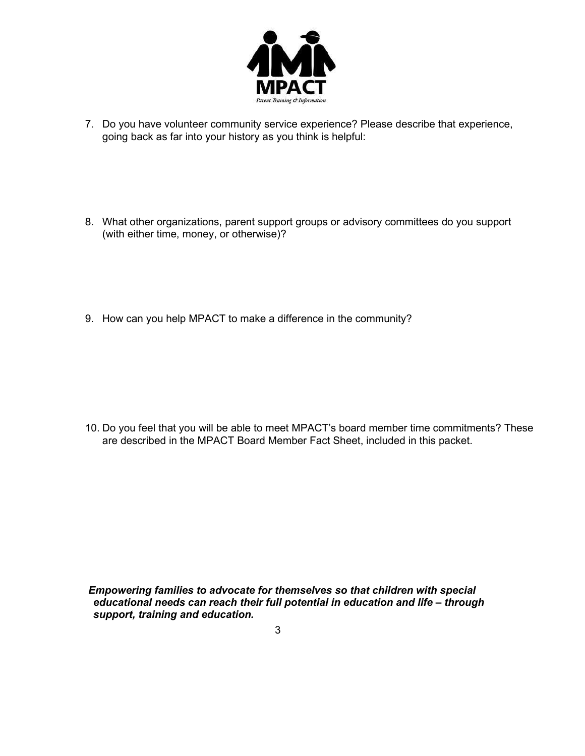

- 7. Do you have volunteer community service experience? Please describe that experience, going back as far into your history as you think is helpful:
- 8. What other organizations, parent support groups or advisory committees do you support (with either time, money, or otherwise)?
- 9. How can you help MPACT to make a difference in the community?

10. Do you feel that you will be able to meet MPACT's board member time commitments? These are described in the MPACT Board Member Fact Sheet, included in this packet.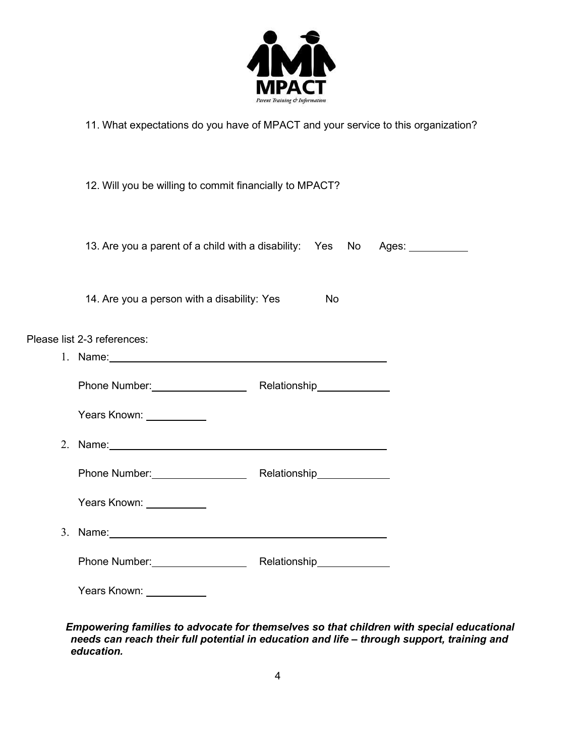

11. What expectations do you have of MPACT and your service to this organization?

| 12. Will you be willing to commit financially to MPACT?                                                        |    |  |  |  |
|----------------------------------------------------------------------------------------------------------------|----|--|--|--|
| 13. Are you a parent of a child with a disability: Yes No Ages: 1988 Moss.                                     |    |  |  |  |
| 14. Are you a person with a disability: Yes                                                                    | No |  |  |  |
| Please list 2-3 references:                                                                                    |    |  |  |  |
| 1. Name: 1. 2008. 2009. 2009. 2009. 2009. 2009. 2009. 2009. 2009. 2009. 2009. 2009. 2009. 2009. 2009. 2009. 20 |    |  |  |  |
| Phone Number: National Melationship Network 2012 19:00 Network 2012 19:00 Network 2013                         |    |  |  |  |
| Years Known: Vears                                                                                             |    |  |  |  |
|                                                                                                                |    |  |  |  |
| Phone Number: Relationship                                                                                     |    |  |  |  |
| Years Known: ___________                                                                                       |    |  |  |  |
| 3. Name: 1. 2008. 2. 2009. 2. 2009. 2. 2009. 2. 2009. 2. 2009. 2. 2009. 2. 2009. 2. 2009. 2. 2009. 2. 2009. 2. |    |  |  |  |
| Phone Number: No. 2016 Nelationship Nelationship                                                               |    |  |  |  |
| Years Known:                                                                                                   |    |  |  |  |